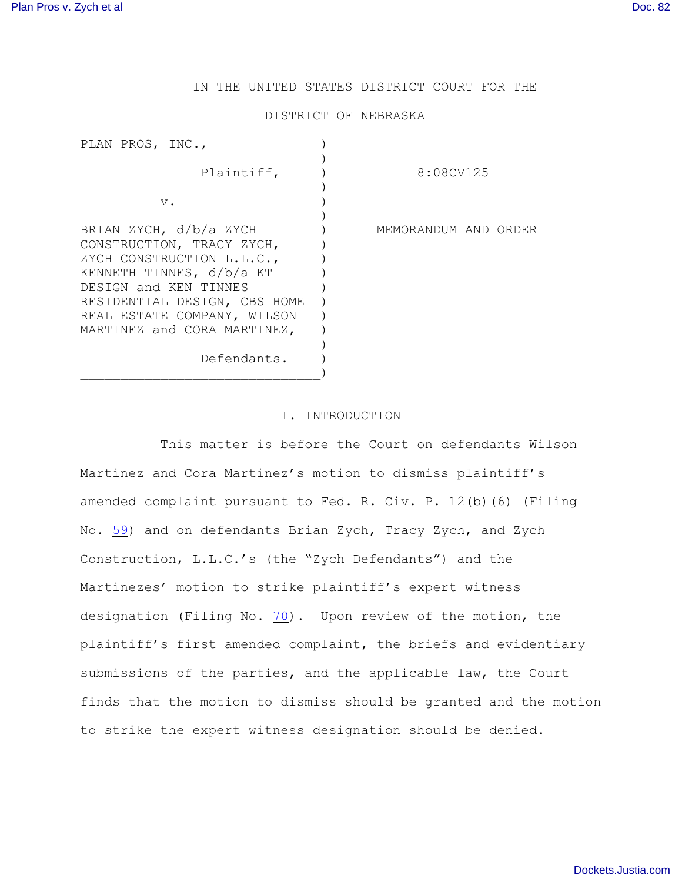# IN THE UNITED STATES DISTRICT COURT FOR THE

#### DISTRICT OF NEBRASKA

| PLAN PROS, INC.,                                                                                                                                                                                                                    |                      |  |
|-------------------------------------------------------------------------------------------------------------------------------------------------------------------------------------------------------------------------------------|----------------------|--|
| Plaintiff,                                                                                                                                                                                                                          | 8:08CV125            |  |
| $V$ .                                                                                                                                                                                                                               |                      |  |
| BRIAN ZYCH, d/b/a ZYCH<br>CONSTRUCTION, TRACY ZYCH,<br>ZYCH CONSTRUCTION L.L.C.,<br>KENNETH TINNES, d/b/a KT<br>DESIGN and KEN TINNES<br>RESIDENTIAL DESIGN, CBS HOME<br>REAL ESTATE COMPANY, WILSON<br>MARTINEZ and CORA MARTINEZ, | MEMORANDUM AND ORDER |  |
| Defendants.                                                                                                                                                                                                                         |                      |  |

# I. INTRODUCTION

This matter is before the Court on defendants Wilson Martinez and Cora Martinez's motion to dismiss plaintiff's amended complaint pursuant to Fed. R. Civ. P. 12(b)(6) (Filing No. [59](#page-6-0)) and on defendants Brian Zych, Tracy Zych, and Zych Construction, L.L.C.'s (the "Zych Defendants") and the Martinezes' motion to strike plaintiff's expert witness designation (Filing No.  $70$ ). Upon review of the motion, the plaintiff's first amended complaint, the briefs and evidentiary submissions of the parties, and the applicable law, the Court finds that the motion to dismiss should be granted and the motion to strike the expert witness designation should be denied.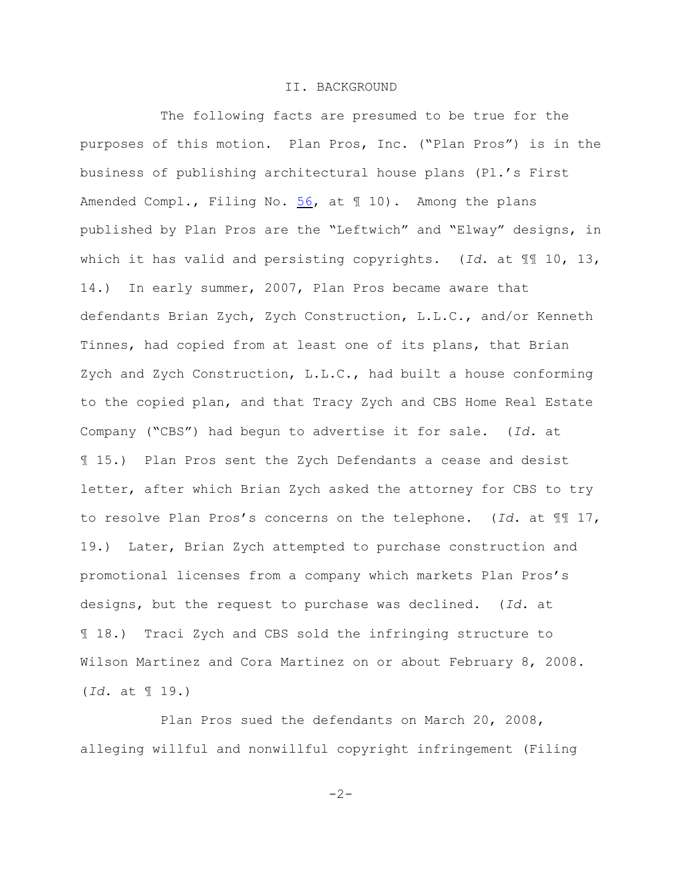## II. BACKGROUND

The following facts are presumed to be true for the purposes of this motion. Plan Pros, Inc. ("Plan Pros") is in the business of publishing architectural house plans (Pl.'s First Amended Compl., Filing No. [56](#page-2-0), at 1 10). Among the plans published by Plan Pros are the "Leftwich" and "Elway" designs, in which it has valid and persisting copyrights. (*Id*. at ¶¶ 10, 13, 14.) In early summer, 2007, Plan Pros became aware that defendants Brian Zych, Zych Construction, L.L.C., and/or Kenneth Tinnes, had copied from at least one of its plans, that Brian Zych and Zych Construction, L.L.C., had built a house conforming to the copied plan, and that Tracy Zych and CBS Home Real Estate Company ("CBS") had begun to advertise it for sale. (*Id.* at ¶ 15.) Plan Pros sent the Zych Defendants a cease and desist letter, after which Brian Zych asked the attorney for CBS to try to resolve Plan Pros's concerns on the telephone. (*Id.* at ¶¶ 17, 19.) Later, Brian Zych attempted to purchase construction and promotional licenses from a company which markets Plan Pros's designs, but the request to purchase was declined. (*Id.* at ¶ 18.) Traci Zych and CBS sold the infringing structure to Wilson Martinez and Cora Martinez on or about February 8, 2008. (*Id.* at ¶ 19.)

Plan Pros sued the defendants on March 20, 2008, alleging willful and nonwillful copyright infringement (Filing

 $-2-$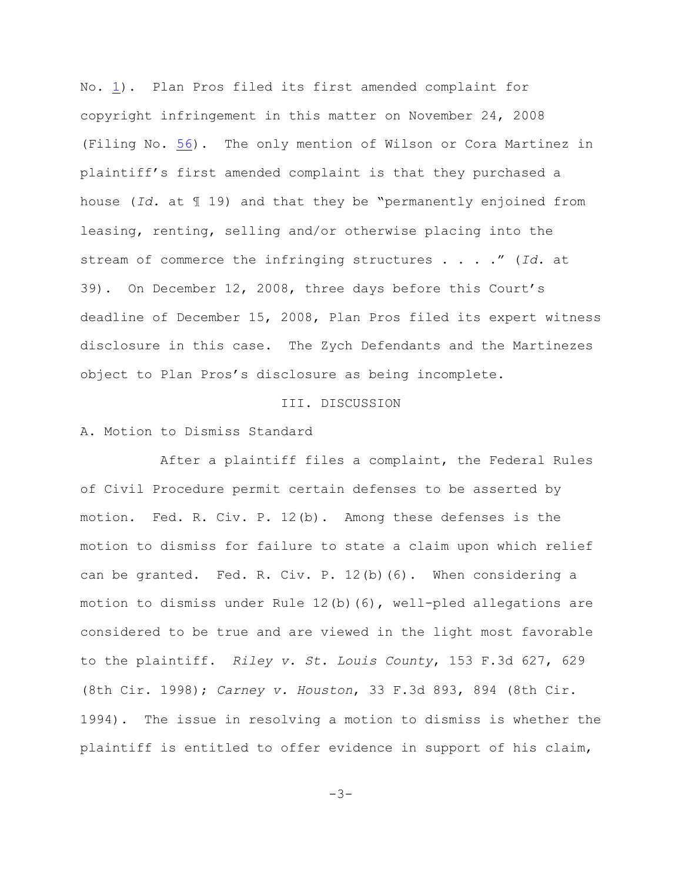No. [1](#page-2-0)). Plan Pros filed its first amended complaint for copyright infringement in this matter on November 24, 2008 (Filing No. [56](#page-2-0)). The only mention of Wilson or Cora Martinez in plaintiff's first amended complaint is that they purchased a house (*Id.* at ¶ 19) and that they be "permanently enjoined from leasing, renting, selling and/or otherwise placing into the stream of commerce the infringing structures . . . ." (*Id.* at 39). On December 12, 2008, three days before this Court's deadline of December 15, 2008, Plan Pros filed its expert witness disclosure in this case. The Zych Defendants and the Martinezes object to Plan Pros's disclosure as being incomplete.

### III. DISCUSSION

#### A. Motion to Dismiss Standard

After a plaintiff files a complaint, the Federal Rules of Civil Procedure permit certain defenses to be asserted by motion. Fed. R. Civ. P. 12(b). Among these defenses is the motion to dismiss for failure to state a claim upon which relief can be granted. Fed. R. Civ. P. 12(b)(6). When considering a motion to dismiss under Rule  $12(b)$  (6), well-pled allegations are considered to be true and are viewed in the light most favorable to the plaintiff. *Riley v. St. Louis County*, 153 F.3d 627, 629 (8th Cir. 1998); *Carney v. Houston*, 33 F.3d 893, 894 (8th Cir. 1994). The issue in resolving a motion to dismiss is whether the plaintiff is entitled to offer evidence in support of his claim,

<span id="page-2-0"></span>-3-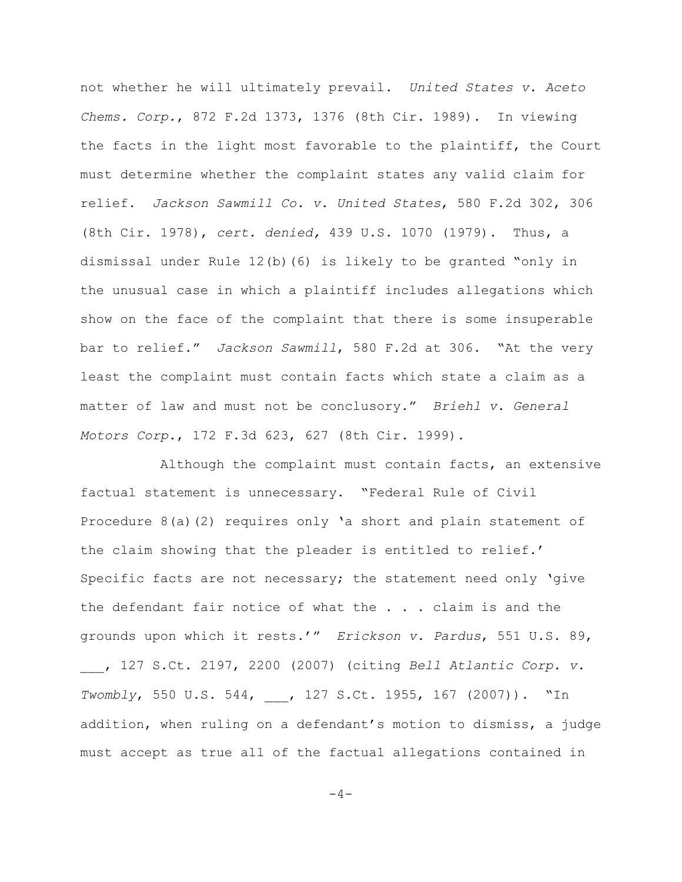not whether he will ultimately prevail. *United States v. Aceto Chems. Corp.*, 872 F.2d 1373, 1376 (8th Cir. 1989). In viewing the facts in the light most favorable to the plaintiff, the Court must determine whether the complaint states any valid claim for relief. *Jackson Sawmill Co. v. United States*, 580 F.2d 302, 306 (8th Cir. 1978), *cert. denied,* 439 U.S. 1070 (1979). Thus, a dismissal under Rule 12(b)(6) is likely to be granted "only in the unusual case in which a plaintiff includes allegations which show on the face of the complaint that there is some insuperable bar to relief." *Jackson Sawmill*, 580 F.2d at 306. "At the very least the complaint must contain facts which state a claim as a matter of law and must not be conclusory." *Briehl v. General Motors Corp.*, 172 F.3d 623, 627 (8th Cir. 1999).

Although the complaint must contain facts, an extensive factual statement is unnecessary. "Federal Rule of Civil Procedure 8(a)(2) requires only 'a short and plain statement of the claim showing that the pleader is entitled to relief.' Specific facts are not necessary; the statement need only 'give the defendant fair notice of what the . . . claim is and the grounds upon which it rests.'" *Erickson v. Pardus*, 551 U.S. 89, \_\_\_, 127 S.Ct. 2197, 2200 (2007) (citing *Bell Atlantic Corp. v. Twombly*, 550 U.S. 544, \_\_\_, 127 S.Ct. 1955, 167 (2007)). "In addition, when ruling on a defendant's motion to dismiss, a judge must accept as true all of the factual allegations contained in

 $-4-$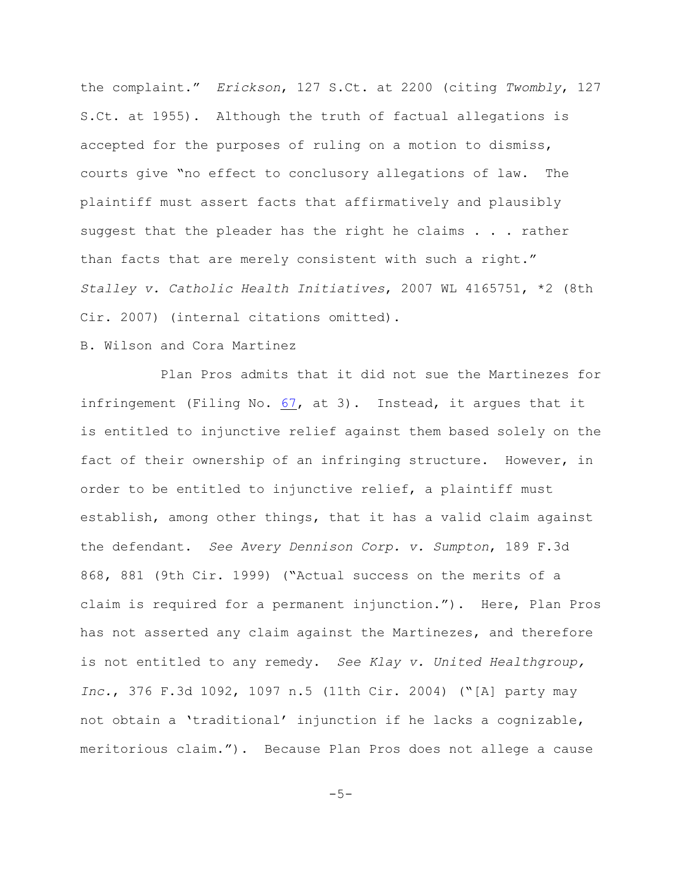the complaint." *Erickson*, 127 S.Ct. at 2200 (citing *Twombly*, 127 S.Ct. at 1955). Although the truth of factual allegations is accepted for the purposes of ruling on a motion to dismiss, courts give "no effect to conclusory allegations of law. The plaintiff must assert facts that affirmatively and plausibly suggest that the pleader has the right he claims . . . rather than facts that are merely consistent with such a right." *Stalley v. Catholic Health Initiatives*, 2007 WL 4165751, \*2 (8th Cir. 2007) (internal citations omitted).

## B. Wilson and Cora Martinez

Plan Pros admits that it did not sue the Martinezes for infringement (Filing No.  $67$ , at 3). Instead, it argues that it is entitled to injunctive relief against them based solely on the fact of their ownership of an infringing structure. However, in order to be entitled to injunctive relief, a plaintiff must establish, among other things, that it has a valid claim against the defendant. *See Avery Dennison Corp. v. Sumpton*, 189 F.3d 868, 881 (9th Cir. 1999) ("Actual success on the merits of a claim is required for a permanent injunction."). Here, Plan Pros has not asserted any claim against the Martinezes, and therefore is not entitled to any remedy. *See Klay v. United Healthgroup, Inc.*, 376 F.3d 1092, 1097 n.5 (11th Cir. 2004) ("[A] party may not obtain a 'traditional' injunction if he lacks a cognizable, meritorious claim."). Because Plan Pros does not allege a cause

 $-5-$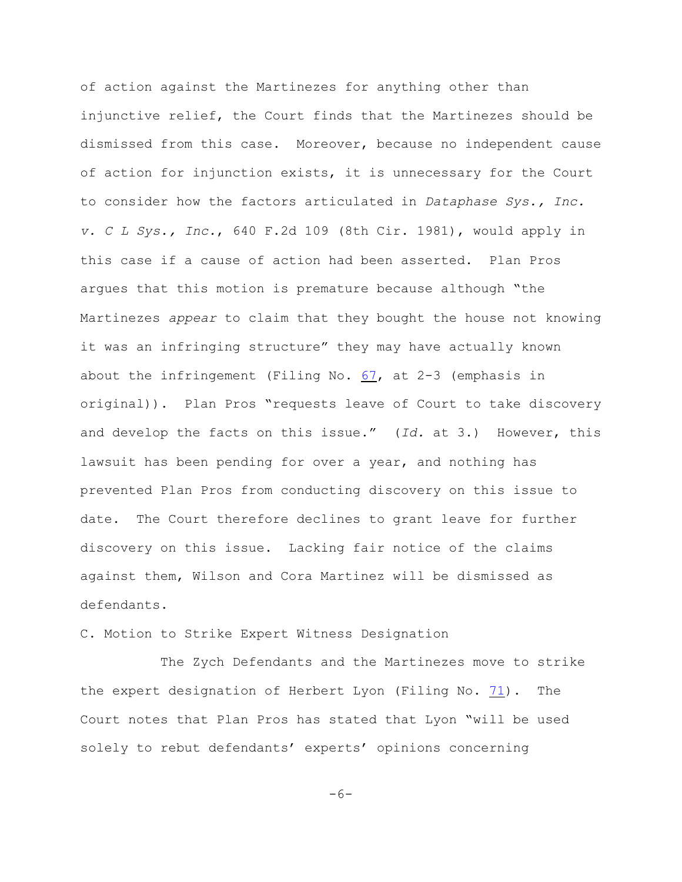of action against the Martinezes for anything other than injunctive relief, the Court finds that the Martinezes should be dismissed from this case. Moreover, because no independent cause of action for injunction exists, it is unnecessary for the Court to consider how the factors articulated in *Dataphase Sys., Inc. v. C L Sys., Inc.*, 640 F.2d 109 (8th Cir. 1981), would apply in this case if a cause of action had been asserted. Plan Pros argues that this motion is premature because although "the Martinezes *appear* to claim that they bought the house not knowing it was an infringing structure" they may have actually known about the infringement (Filing No. [67](#page-5-0), at 2-3 (emphasis in original)). Plan Pros "requests leave of Court to take discovery and develop the facts on this issue." (*Id.* at 3.) However, this lawsuit has been pending for over a year, and nothing has prevented Plan Pros from conducting discovery on this issue to date. The Court therefore declines to grant leave for further discovery on this issue. Lacking fair notice of the claims against them, Wilson and Cora Martinez will be dismissed as defendants.

## C. Motion to Strike Expert Witness Designation

<span id="page-5-0"></span>The Zych Defendants and the Martinezes move to strike the expert designation of Herbert Lyon (Filing No. [71](#page-6-0)). The Court notes that Plan Pros has stated that Lyon "will be used solely to rebut defendants' experts' opinions concerning

 $-6-$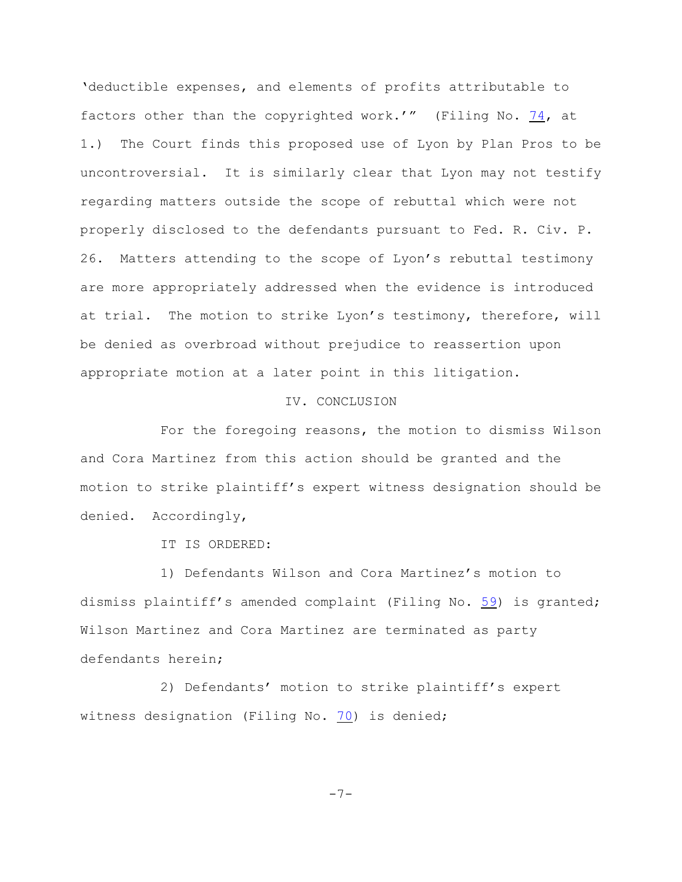'deductible expenses, and elements of profits attributable to factors other than the copyrighted work.'" (Filing No. [74](#page-6-0), at 1.) The Court finds this proposed use of Lyon by Plan Pros to be uncontroversial. It is similarly clear that Lyon may not testify regarding matters outside the scope of rebuttal which were not properly disclosed to the defendants pursuant to Fed. R. Civ. P. 26. Matters attending to the scope of Lyon's rebuttal testimony are more appropriately addressed when the evidence is introduced at trial. The motion to strike Lyon's testimony, therefore, will be denied as overbroad without prejudice to reassertion upon appropriate motion at a later point in this litigation.

# IV. CONCLUSION

For the foregoing reasons, the motion to dismiss Wilson and Cora Martinez from this action should be granted and the motion to strike plaintiff's expert witness designation should be denied. Accordingly,

IT IS ORDERED:

1) Defendants Wilson and Cora Martinez's motion to dismiss plaintiff's amended complaint (Filing No. [59](#page-6-0)) is granted; Wilson Martinez and Cora Martinez are terminated as party defendants herein;

<span id="page-6-0"></span>2) Defendants' motion to strike plaintiff's expert witness designation (Filing No. [70](#page-6-0)) is denied;

-7-